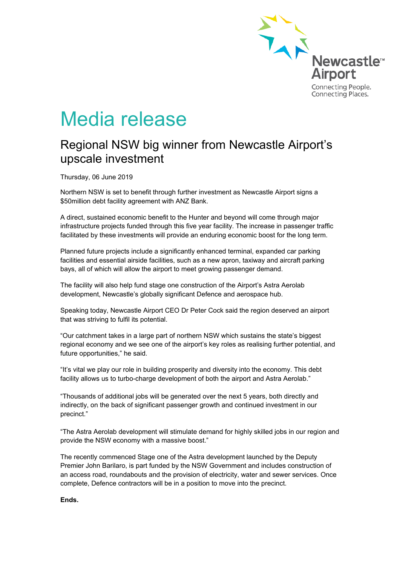

# Media release

## Regional NSW big winner from Newcastle Airport's upscale investment

Thursday, 06 June 2019

Northern NSW is set to benefit through further investment as Newcastle Airport signs a \$50million debt facility agreement with ANZ Bank.

A direct, sustained economic benefit to the Hunter and beyond will come through major infrastructure projects funded through this five year facility. The increase in passenger traffic facilitated by these investments will provide an enduring economic boost for the long term.

Planned future projects include a significantly enhanced terminal, expanded car parking facilities and essential airside facilities, such as a new apron, taxiway and aircraft parking bays, all of which will allow the airport to meet growing passenger demand.

The facility will also help fund stage one construction of the Airport's Astra Aerolab development, Newcastle's globally significant Defence and aerospace hub.

Speaking today, Newcastle Airport CEO Dr Peter Cock said the region deserved an airport that was striving to fulfil its potential.

"Our catchment takes in a large part of northern NSW which sustains the state's biggest regional economy and we see one of the airport's key roles as realising further potential, and future opportunities," he said.

"It's vital we play our role in building prosperity and diversity into the economy. This debt facility allows us to turbo-charge development of both the airport and Astra Aerolab."

"Thousands of additional jobs will be generated over the next 5 years, both directly and indirectly, on the back of significant passenger growth and continued investment in our precinct."

"The Astra Aerolab development will stimulate demand for highly skilled jobs in our region and provide the NSW economy with a massive boost."

The recently commenced Stage one of the Astra development launched by the Deputy Premier John Barilaro, is part funded by the NSW Government and includes construction of an access road, roundabouts and the provision of electricity, water and sewer services. Once complete, Defence contractors will be in a position to move into the precinct.

#### **Ends.**